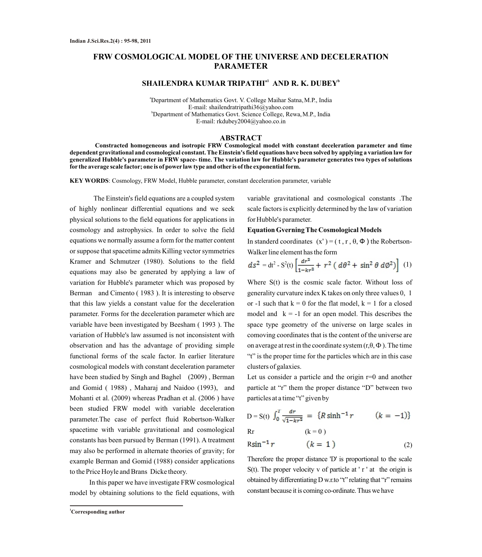# **FRW COSMOLOGICAL MODEL OF THE UNIVERSE AND DECELERATION PARAMETER**

# $\mathbf{SHAILENDRA}\ \mathbf{KUMAR}\ \mathbf{TRIPATHI}^{ \mathrm{al}}\ \mathbf{AND}\ \mathbf{R}\ \mathbf{K}.\ \mathbf{DUBEY}^{ \mathrm{b}}$

<sup>a</sup>Department of Mathematics Govt. V. College Maihar Satna, M.P., India E-mail: shailendratripathi36@yahoo.com <sup>b</sup>Department of Mathematics Govt. Science College, Rewa, M.P., India E-mail: rkdubey2004@yahoo.co.in

### **ABSTRACT**

**Constracted homogeneous and isotropic FRW Cosmological model with constant deceleration parameter and time dependent gravitational and cosmological constant. The Einstein's field equations have been solved by applying a variation law for generalized Hubble's parameter in FRW space- time. The variation law for Hubble's parameter generates two types of solutions for the average scale factor; one is of power law type and other is of the exponential form.**

**KEY WORDS**: Cosmology, FRW Model, Hubble parameter, constant deceleration parameter, variable

The Einstein's field equations are a coupled system of highly nonlinear differential equations and we seek physical solutions to the field equations for applications in cosmology and astrophysics. In order to solve the field equations we normally assume a form for the matter content or suppose that spacetime admits Killing vector symmetries Kramer and Schmutzer (1980). Solutions to the field equations may also be generated by applying a law of variation for Hubble's parameter which was proposed by Berman and Cimento ( 1983 ). It is interesting to observe that this law yields a constant value for the deceleration parameter. Forms for the deceleration parameter which are variable have been investigated by Beesham ( 1993 ). The variation of Hubble's law assumed is not inconsistent with observation and has the advantage of providing simple functional forms of the scale factor. In earlier literature cosmological models with constant deceleration parameter have been studied by Singh and Baghel (2009), Berman and Gomid ( 1988) , Maharaj and Naidoo (1993), and Mohanti et al. (2009) whereas Pradhan et al. (2006 ) have been studied FRW model with variable deceleration parameter.The case of perfect fluid Robertson-Walker spacetime with variable gravitational and cosmological constants has been pursued by Berman (1991). A treatment may also be performed in alternate theories of gravity; for example Berman and Gomid (1988) consider applications to the Price Hoyle and Brans Dicke theory.

In this paper we have investigate FRW cosmological model by obtaining solutions to the field equations, with variable gravitational and cosmological constants .The scale factors is explicitly determined by the law of variation for Hubble's parameter.

#### **Equation Gverning The Cosmological Models**

In standerd coordinates  $(x^*) = (t, r, \theta, \Phi)$  the Robertson-Walker line element has the form

$$
ds^{2} = dt^{2} - S^{2}(t) \left[ \frac{dr^{2}}{1 - kr^{2}} + r^{2} (d\theta^{2} + \sin^{2} \theta d\phi^{2}) \right] (1)
$$

Where S(t) is the cosmic scale factor. Without loss of generality curvature index K takes on only three values 0, 1 or -1 such that  $k = 0$  for the flat model,  $k = 1$  for a closed model and  $k = -1$  for an open model. This describes the space type geometry of the universe on large scales in comoving coordinates that is the content of the universe are on average at rest in the coordinate system  $(r, \theta, \Phi)$ . The time "t" is the proper time for the particles which are in this case clusters of galaxies.

Let us consider a particle and the origin  $r=0$  and another particle at "r" them the proper distance "D" between two particles at a time "t" given by

D = S(t) 
$$
\int_0^T \frac{dr}{\sqrt{1 - kr^2}} = \{R \sinh^{-1} r \qquad (k = -1)\}
$$
  
Br (k = 0)

$$
R\sin^{-1}r \qquad (k=1) \qquad (2)
$$

Therefore the proper distance 'D' is proportional to the scale  $S(t)$ . The proper velocity v of particle at ' r ' at the origin is obtained by differentiating D w.r.to "t" relating that "r" remains constant because it is coming co-ordinate. Thus we have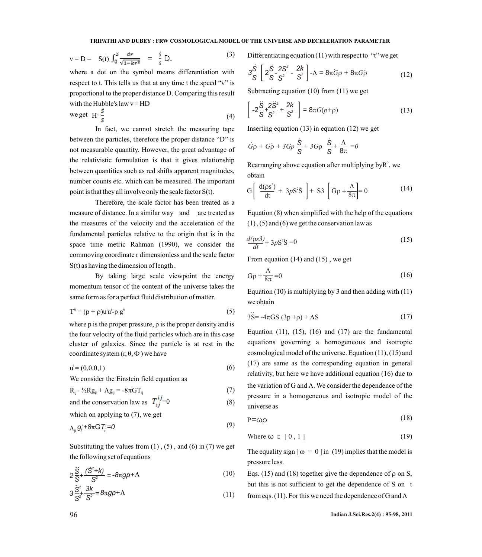$$
v = D = S(t) \int_0^S \frac{dr}{\sqrt{1 - kr^2}} = \frac{s}{s} D.
$$
 (3)

where a dot on the symbol means differentiation with respect to t. This tells us that at any time t the speed "v" is proportional to the proper distance D. Comparing this result with the Hubble's law  $v = HD$ 

$$
\text{we get } H = \frac{s}{s} \tag{4}
$$

In fact, we cannot stretch the measuring tape between the particles, therefore the proper distance "D" is not measurable quantity. However, the great advantage of the relativistic formulation is that it gives relationship between quantities such as red shifts apparent magnitudes, number counts etc. which can be measured. The important point is that they all involve only the scale factor S(t).

Therefore, the scale factor has been treated as a measure of distance. In a similar way and are treated as the measures of the velocity and the acceleration of the fundamental particles relative to the origin that is in the space time metric Rahman (1990), we consider the commoving coordinate r dimensionless and the scale factor S(t) as having the dimension of length .

By taking large scale viewpoint the energy momentum tensor of the content of the universe takes the same form as for a perfect fluid distribution of matter.

$$
Tij = (p + \rho)uij - p gij
$$
 (5)

where p is the proper pressure,  $\rho$  is the proper density and is the four velocity of the fluid particles which are in this case cluster of galaxies. Since the particle is at rest in the coordinate system  $(r, \theta, \Phi)$  we have

$$
u^{i} = (0,0,0,1) \tag{6}
$$

We consider the Einstein field equation as

$$
\mathbf{R}_{ij} - \frac{1}{2} \mathbf{R} \mathbf{g}_{ij} + \Lambda \mathbf{g}_{ij} = -8\pi \mathbf{G} \mathbf{T}_{ij}
$$
 (7)

and the conservation law as 
$$
T_{ij}^{ij} = 0
$$
 (8)

which on applying to 
$$
(7)
$$
, we get

$$
\Lambda_{\mu} g_{j}^{\prime} + 8\pi G T_{j}^{\prime} = 0 \tag{9}
$$

Substituting the values from  $(1)$ ,  $(5)$ , and  $(6)$  in  $(7)$  we get the following set of equations

$$
2\frac{\ddot{S}}{S} + \frac{(\dot{S}^2 + k)}{S^2} = -8\pi g p + \Lambda
$$
 (10)

$$
3\frac{\dot{S}^2}{S^2} \frac{3k}{S^2} = 8\pi g p + \Lambda \tag{11}
$$

Differentiating equation (11) with respect to "t" we get

$$
3\frac{\dot{S}}{S} \left[ 2\frac{\ddot{S}}{S} - \frac{2S^2}{S^2} - \frac{2k}{S^2} \right] - \Lambda = 8\pi G\rho + 8\pi G\rho \tag{12}
$$

Subtracting equation (10) from (11) we get

$$
\left[ -2\frac{\ddot{S}}{S} + \frac{2\ddot{S}^2}{S^2} + \frac{2k}{S^2} \right] = 8\pi G(p + \rho)
$$
 (13)

Inserting equation (13) in equation (12) we get

$$
\dot{G}\rho + G\dot{\rho} + 3Gp \frac{\dot{S}}{S} + 3G\rho \frac{\dot{S}}{S} + \frac{\Lambda}{8\pi} = 0
$$

Rearranging above equation after multiplying by  $R^3$ , we obtain

$$
G\left[\frac{d(\rho s^3)}{dt} + 3\rho S^2 S\right] + S3\left[\dot{G}\rho + \frac{\Lambda}{8\pi}\right] = 0
$$
 (14)  
Equation (8) when simplified with the help of the equations  
(1), (5) and (6) we get the conservation law as  

$$
\frac{d(\rho s3)}{dt} + 3\rho S^2 S = 0
$$
 (15)  
From equation (14) and (15), we get

Equation (8) when simplified with the help of the equations  $(1)$ ,  $(5)$  and  $(6)$  we get the conservation law as

$$
\frac{d(\rho s3)}{dt} + 3\rho S^2 S = 0\tag{15}
$$

From equation (14) and (15) , we get

$$
G\rho + \frac{\Lambda}{8\pi} = 0\tag{16}
$$

Equation (10) is multiplying by 3 and then adding with  $(11)$ we obtain

$$
3\ddot{S} = -4\pi GS \left(3p + \rho\right) + AS \tag{17}
$$

 $R_{ij}$  - ½ $R_{gij}$  +  $\Lambda g_{ij}$  = -8 $\pi G T_{ij}$  (7) are variation of 5 and 11. We consider the dependence of the pressure in a homogeneous and isotropic model of the Equation  $(11)$ ,  $(15)$ ,  $(16)$  and  $(17)$  are the fundamental equations governing a homogeneous and isotropic cosmological model of the universe. Equation (11), (15) and (17) are same as the corresponding equation in general relativity, but here we have additional equation (16) due to the variation of G and  $\Lambda$ . We consider the dependence of the universe as

$$
P = \omega \rho \tag{18}
$$

$$
Where \omega \in [0, 1] \tag{19}
$$

The equality sign  $\lceil \omega \rceil = 0 \rceil$  in (19) implies that the model is pressure less.

 $-8\pi g p + \Lambda$  (10) Eqs. (15) and (18) together give the dependence of  $\rho$  on S, but this is not sufficient to get the dependence of S on t  $\text{Arg} p + \Lambda$  (11) from eqs. (11). For this we need the dependence of G and  $\Lambda$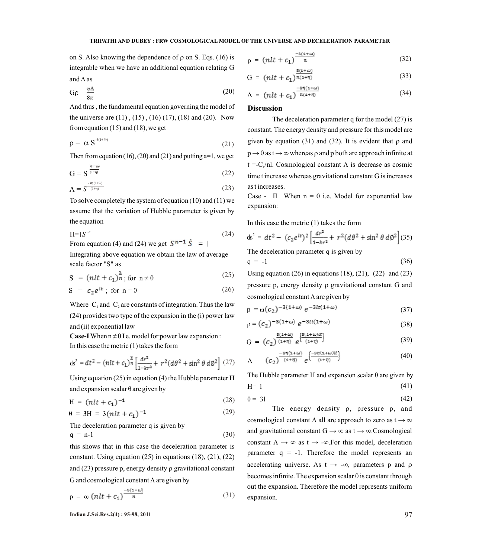on S. Also knowing the dependence of  $\rho$  on S. Eqs. (16) is  $\rho$ integrable when we have an additional equation relating G

$$
G\rho = \frac{\eta \Lambda}{8\pi} \tag{20}
$$

And thus , the fundamental equation governing the model of the universe are (11) , (15) , (16) (17), (18) and (20). Now from equation  $(15)$  and  $(18)$ , we get

$$
\rho = \alpha S^{3(1+\omega)} \tag{21}
$$

Then from equation (16), (20) and (21) and putting  $a=1$ , we get

$$
G = S^{\frac{3(1+\omega)}{(1+\eta)}}
$$
\n
$$
(22)
$$

$$
\Lambda = S^{\frac{3\eta(1+ \alpha)}{(1+\eta)}}
$$
 (23) as t increases.

To solve completely the system of equation (10) and (11) we assume that the variation of Hubble parameter is given by the equation

$$
H=|S^{-n} \tag{24}
$$

From equation (4) and (24) we get  $S^{n-1} \dot{S} = \vert$ 

Integrating above equation we obtain the law of average scale factor "S" as

$$
S = (nlt + c_1)^{\frac{1}{n}}; \text{ for } n \neq 0 \tag{25}
$$

$$
S = c_2 e^{lt} ; \text{ for } n = 0 \tag{26}
$$

Where  $C_1$  and  $C_2$  are constants of integration. Thus the law (24) provides two type of the expansion in the (i) power law and (ii) exponential law

**Case-I** When  $n \neq 0$  I e. model for power law expansion :

In this case the metric (1) takes the form

$$
ds^{2} = dt^{2} - (nlt + c_{1})^{\frac{2}{n}} \left[ \frac{dr^{2}}{1 - kr^{2}} + r^{2} (d\theta^{2} + \sin^{2} \theta \, d\phi^{2}) \right] (27)
$$

Using equation (25) in equation (4) the Hubble parameter H and expansion scalar  $\theta$  are given by

$$
H = (nlt + c_1)^{-1}
$$
 (28)

$$
\theta = 3H = 3(nlt + c_1)^{-1} \tag{29}
$$

The deceleration parameter q is given by

$$
q = n-1 \tag{30}
$$

this shows that in this case the deceleration parameter is constant. Using equation (25) in equations (18), (21), (22) and  $(23)$  pressure p, energy density  $\rho$  gravitational constant G and cosmological constant  $\Lambda$  are given by

$$
p = \omega \left(nlt + c_1\right)^{\frac{-s(1+\omega)}{n}} \tag{31}
$$

$$
a_0 = (nlt + c_1)^{\frac{-s(1+i\omega)}{n}}
$$
 (32)

and A as  
\n
$$
G = (nlt + c_1)^{\frac{g(1+l\omega)}{n(1+l\eta)}}
$$
\n(33)

$$
\Lambda = \left( nlt + c_1 \right)^{\frac{-s\eta(1+m)}{n(1+\eta)}} \tag{34}
$$

## **Discussion**

The deceleration parameter q for the model (27) is constant. The energy density and pressure for this model are  $\rho = \alpha S^{3(1+\omega)}$  (21) given by equation (31) and (32). It is evident that  $\rho$  and  $p \rightarrow 0$  as  $t \rightarrow \infty$  whereas p and p both are approach infinite at  $t = C_1/nl$ . Cosmological constant  $\Lambda$  is decrease as cosmic time t increase whereas gravitational constant G is increases as t increases.

> Case - II When  $n = 0$  i.e. Model for exponential law expansion:

In this case the metric (1) takes the form

$$
ds^{2} = dt^{2} - (c_{2}e^{lt})^{2} \left[ \frac{dr^{2}}{1 - kr^{2}} + r^{2} (d\theta^{2} + \sin^{2} \theta d\phi^{2}) \right] (35)
$$

The deceleration parameter q is given by

$$
q = -1 \tag{36}
$$

cosmological constant  $\Lambda$  are given by pressure  $p$ , energy density  $\rho$  gravitational constant G and Using equation  $(26)$  in equations  $(18)$ ,  $(21)$ ,  $(22)$  and  $(23)$  $\Lambda$  are given by

$$
p = \omega(c_2)^{-3(1+\omega)} e^{-3lt(1+\omega)}
$$
\n(37)

$$
\rho = (c_2)^{-3(1+\omega)} e^{-3it(1+\omega)}
$$
\n(38)

$$
G = (c_2)^{\frac{B(1+d_0)}{(1+\eta)}} e^{\frac{B(1+d_0)t}{(1+\eta)}}
$$
\n(39)

$$
\Lambda = (c_2)^{\frac{-8\eta(1+\omega)}{(1+\eta)}} e^{\frac{-8\eta(1+\omega)(t)}{(1+\eta)}}
$$
\n(40)

The Hubble parameter H and expansion scalar  $\theta$  are given by  $H= 1$  (41)

$$
\theta = 31 \tag{42}
$$

The energy density  $\rho$ , pressure  $p$ , and cosmological constant  $\Lambda$  all are approach to zero as  $t \to \infty$ and gravitational constant  $G \rightarrow \infty$  as  $t \rightarrow \infty$ . Cosmological constant  $\Lambda \rightarrow \infty$  as t  $\rightarrow -\infty$ . For this model, deceleration parameter  $q = -1$ . Therefore the model represents an expansion. out the expansion. Therefore the model represents uniform becomes infinite. The expansion scalar  $\theta$  is constant through accelerating universe. As  $t \rightarrow -\infty$ , parameters p and  $\rho$ 

**Indian J.Sci.Res.2(4) : 95-98, 2011** 97